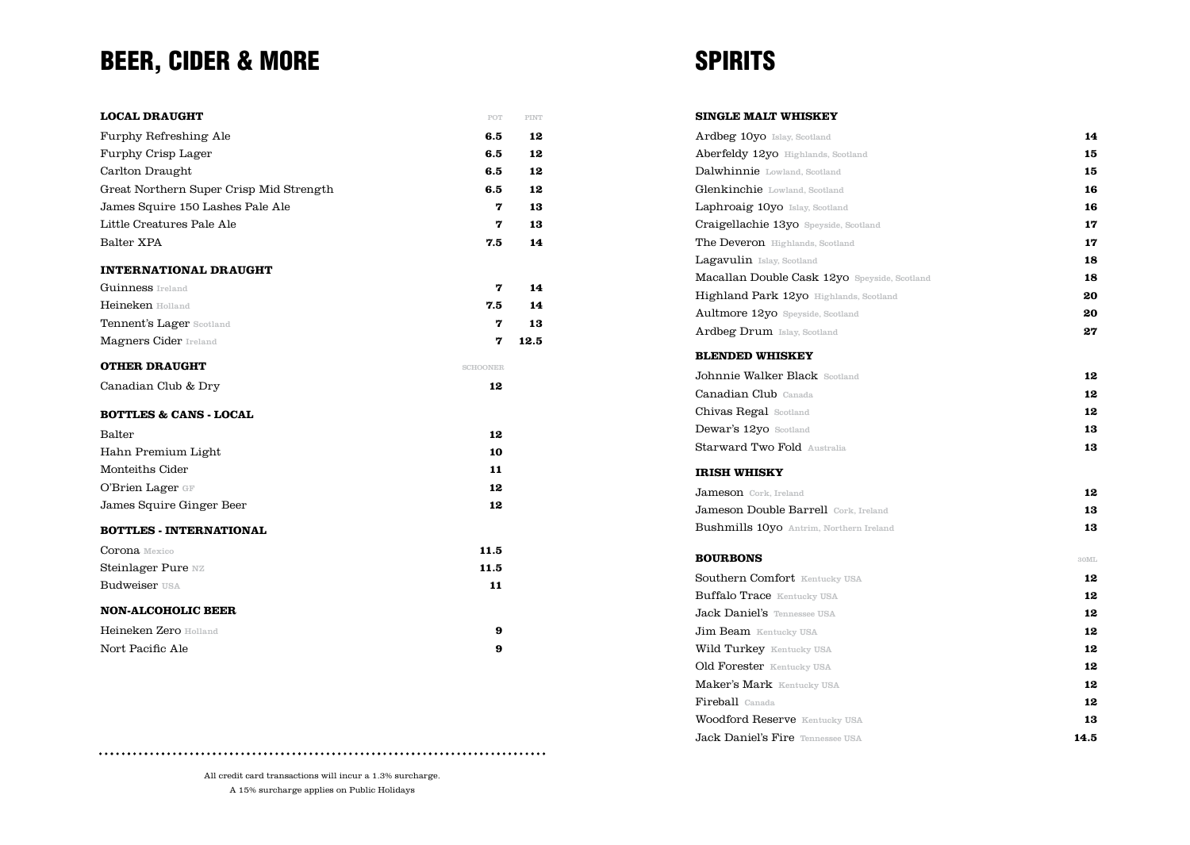# BEER, CIDER & MORE

| <b>LOCAL DRAUGHT</b>                    | POT             | PINT |
|-----------------------------------------|-----------------|------|
| Furphy Refreshing Ale                   | 6.5             | 12   |
| Furphy Crisp Lager                      | 6.5             | 12   |
| Carlton Draught                         | 6.5             | 12   |
| Great Northern Super Crisp Mid Strength | 6.5             | 12   |
| James Squire 150 Lashes Pale Ale        | 7               | 13   |
| Little Creatures Pale Ale               | 7               | 13   |
| Balter XPA                              | 7.5             | 14   |
| <b>INTERNATIONAL DRAUGHT</b>            |                 |      |
| <b>Guinness</b> Ireland                 | 7               | 14   |
| <b>Heineken Holland</b>                 | 7.5             | 14   |
| Tennent's Lager Scotland                | 7               | 13   |
| <b>Magners Cider Ireland</b>            | 7               | 12.5 |
| <b>OTHER DRAUGHT</b>                    | <b>SCHOONER</b> |      |
| Canadian Club & Dry                     | 12              |      |
| <b>BOTTLES &amp; CANS - LOCAL</b>       |                 |      |
| Balter                                  | 12              |      |
| Hahn Premium Light                      | 10              |      |
| Monteiths Cider                         | 11              |      |
| O'Brien Lager GF                        | 12              |      |
| James Squire Ginger Beer                | 12              |      |
| <b>BOTTLES - INTERNATIONAL</b>          |                 |      |
| <b>Corona</b> Mexico                    | 11.5            |      |
| Steinlager Pure NZ                      | 11.5            |      |
| <b>Budweiser USA</b>                    | 11              |      |
| <b>NON-ALCOHOLIC BEER</b>               |                 |      |
| <b>Heineken Zero Holland</b>            | 9               |      |
| Nort Pacific Ale                        | 9               |      |

### **SPIRITS**

| Ardbeg 10yo Islay, Scotland                    | 14   |
|------------------------------------------------|------|
| Aberfeldy 12yo Highlands, Scotland             | 15   |
| Dalwhinnie Lowland, Scotland                   | 15   |
| Glenkinchie Lowland, Scotland                  | 16   |
| Laphroaig 10yo Islay, Scotland                 | 16   |
| Craigellachie 13yo Speyside, Scotland          | 17   |
| <b>The Deveron</b> Highlands, Scotland         | 17   |
| Lagavulin Islay, Scotland                      | 18   |
| Macallan Double Cask 12yo Speyside, Scotland   | 18   |
| <b>Highland Park 12yo</b> Highlands, Scotland  | 20   |
| Aultmore 12yo Speyside, Scotland               | 20   |
| <b>Ardbeg Drum</b> Islay, Scotland             | 27   |
| <b>BLENDED WHISKEY</b>                         |      |
| Johnnie Walker Black Scotland                  | 12   |
| Canadian Club Canada                           | 12   |
| <b>Chivas Regal Scotland</b>                   | 12   |
| Dewar's 12yo Scotland                          | 13   |
| <b>Starward Two Fold Australia</b>             | 13   |
| <b>IRISH WHISKY</b>                            |      |
| Jameson Cork, Ireland                          | 12   |
| Jameson Double Barrell Cork, Ireland           | 13   |
| <b>Bushmills 10yo</b> Antrim, Northern Ireland | 13   |
| <b>BOURBONS</b>                                | 30ML |
| <b>Southern Comfort Kentucky USA</b>           | 12   |
| <b>Buffalo Trace Kentucky USA</b>              | 12   |
| <b>Jack Daniel's Tennessee USA</b>             | 12   |
| <b>Jim Beam</b> Kentucky USA                   | 12   |
| <b>Wild Turkey</b> Kentucky USA                | 12   |
| Old Forester Kentucky USA                      | 12   |
| Maker's Mark Kentucky USA                      | 12   |
| Fireball Canada                                | 12   |
| <b>Woodford Reserve Kentucky USA</b>           | 13   |
| Jack Daniel's Fire Tennessee USA               | 14.5 |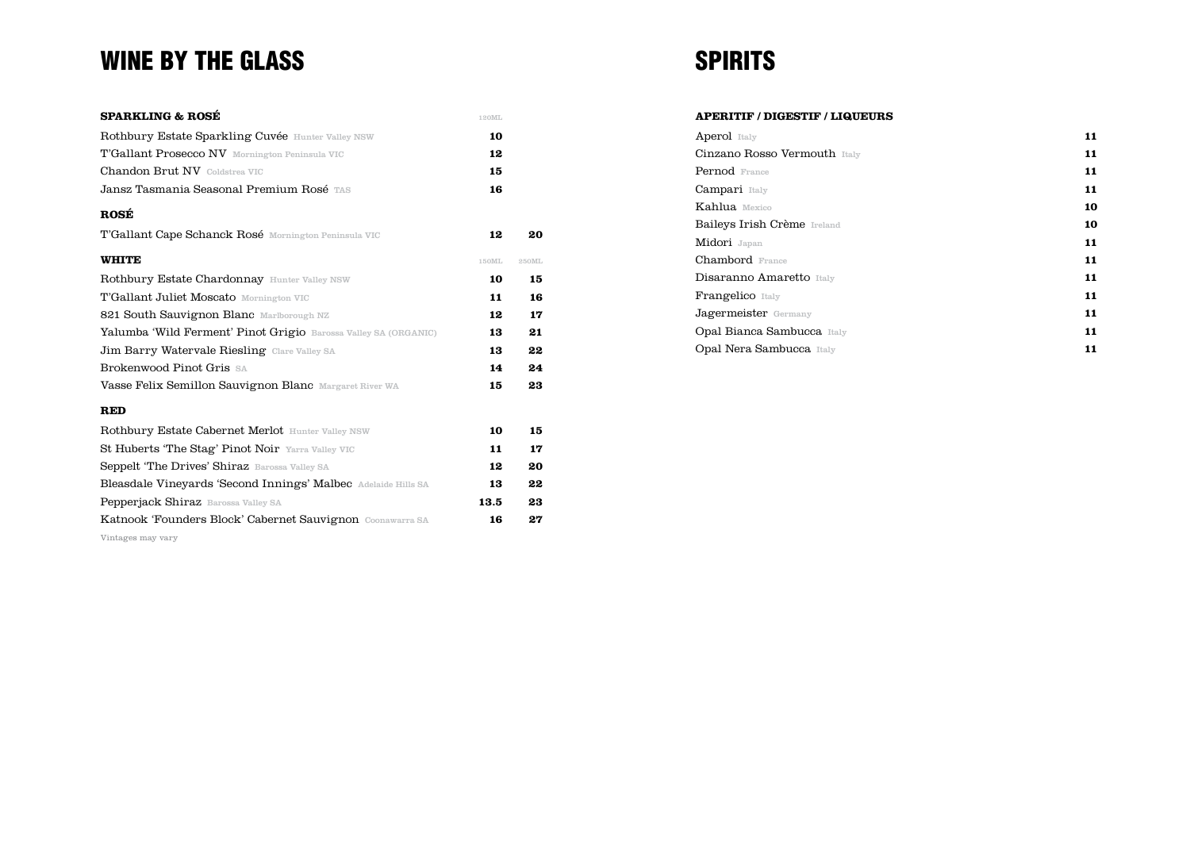## WINE BY THE GLASS

| Rothbury Estate Sparkling Cuvée Hunter Valley NSW               | 10    |       |
|-----------------------------------------------------------------|-------|-------|
| <b>T'Gallant Prosecco NV</b> Mornington Peninsula VIC           | 12    |       |
| <b>Chandon Brut NV</b> Coldstrea VIC                            | 15    |       |
| Jansz Tasmania Seasonal Premium Rosé TAS                        | 16    |       |
| ROSÉ                                                            |       |       |
| <b>T'Gallant Cape Schanck Rosé</b> Mornington Peninsula VIC     | 12    | 20    |
| <b>WHITE</b>                                                    | 150ML | 250ML |
| Rothbury Estate Chardonnay Hunter Valley NSW                    | 10    | 15    |
| <b>T'Gallant Juliet Moscato</b> Mornington VIC                  | 11    | 16    |
| 821 South Sauvignon Blanc Marlborough NZ                        | 12    | 17    |
| Yalumba 'Wild Ferment' Pinot Grigio Barossa Valley SA (ORGANIC) | 13    | 21    |
| Jim Barry Watervale Riesling Clare Valley SA                    | 13    | 22    |
| <b>Brokenwood Pinot Gris SA</b>                                 | 14    | 24    |
| <b>Vasse Felix Semillon Sauvignon Blanc Margaret River WA</b>   | 15    | 23    |

### **RED**

| <b>Rothbury Estate Cabernet Merlot</b> Hunter Valley NSW      | 10   | 15 |
|---------------------------------------------------------------|------|----|
| St Huberts 'The Stag' Pinot Noir Yarra Valley VIC             | 11   | 17 |
| <b>Seppelt 'The Drives' Shiraz</b> Barossa Valley SA          | 12   | 20 |
| Bleasdale Vineyards 'Second Innings' Malbec Adelaide Hills SA | 13   | 22 |
| <b>Pepperjack Shiraz</b> Barossa Valley SA                    | 13.5 | 23 |
| Katnook 'Founders Block' Cabernet Sauvignon Coonawarra SA     | 16   | 27 |
|                                                               |      |    |

Vintages may vary

# **SPIRITS**

| <b>APERITIF / DIGESTIF / LIQUEURS</b> |  |
|---------------------------------------|--|
|---------------------------------------|--|

| <b>Aperol</b> Italy               | 11 |
|-----------------------------------|----|
| Cinzano Rosso Vermouth Italy      | 11 |
| <b>Pernod</b> France              | 11 |
| Campari Italy                     | 11 |
| Kahlua Mexico                     | 10 |
| Baileys Irish Crème Ireland       | 10 |
| Midori Japan                      | 11 |
| <b>Chambord</b> France            | 11 |
| Disaranno Amaretto Italy          | 11 |
| <b>Frangelico</b> Italy           | 11 |
| Jagermeister Germany              | 11 |
| <b>Opal Bianca Sambucca</b> Italy | 11 |
| <b>Opal Nera Sambucca</b> Italy   | 11 |
|                                   |    |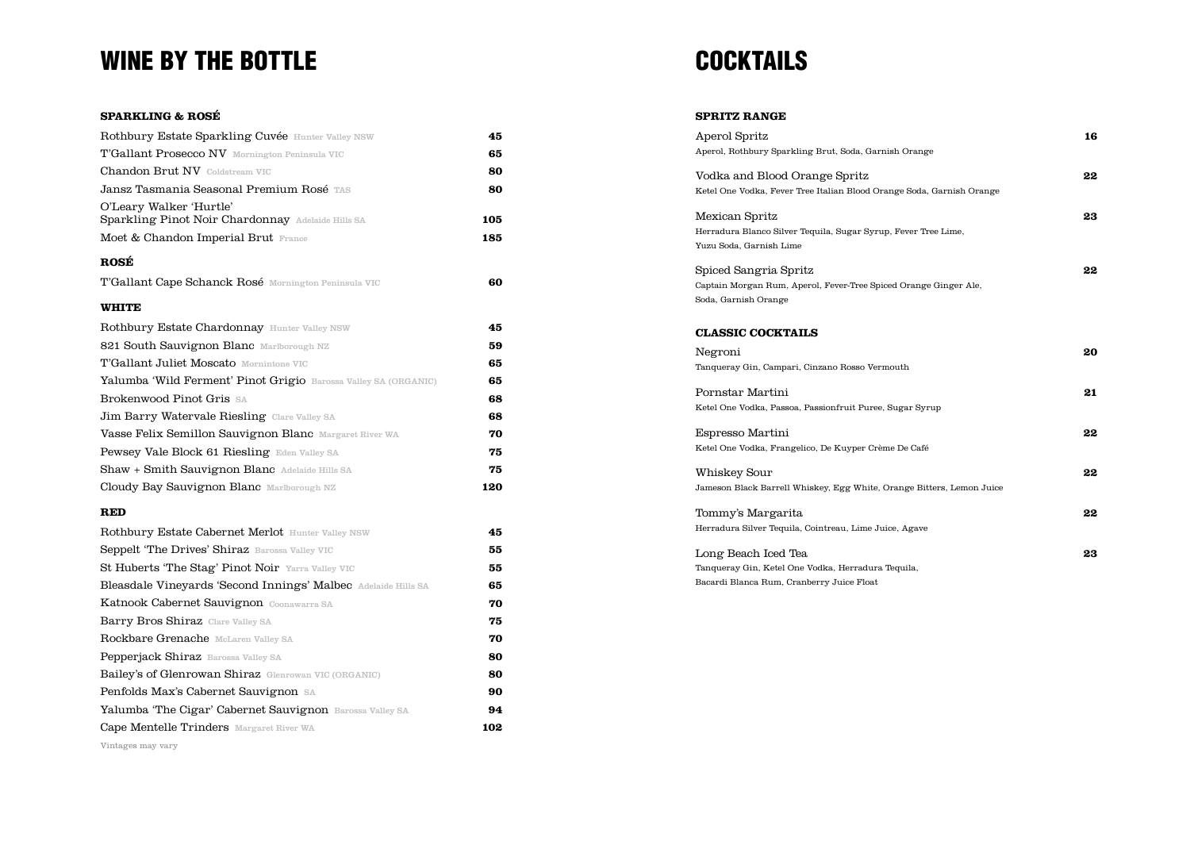### WINE BY THE BOTTLE **SECURE 2008** COCKTAILS

#### **SPARKLING & ROSÉ**

| Rothbury Estate Sparkling Cuvée Hunter Valley NSW                            | 45  |
|------------------------------------------------------------------------------|-----|
| <b>T'Gallant Prosecco NV</b> Mornington Peninsula VIC                        | 65  |
| <b>Chandon Brut NV</b> Coldstream VIC                                        | 80  |
| Jansz Tasmania Seasonal Premium Rosé TAS                                     | 80  |
| O'Leary Walker 'Hurtle'<br>Sparkling Pinot Noir Chardonnay Adelaide Hills SA | 105 |
| Moet & Chandon Imperial Brut France                                          | 185 |
| ROSÉ                                                                         |     |
| <b>T'Gallant Cape Schanck Rosé</b> Mornington Peninsula VIC                  | 60  |
| <b>WHITE</b>                                                                 |     |
| Rothbury Estate Chardonnay Hunter Valley NSW                                 | 45  |
| 821 South Sauvignon Blanc Marlborough NZ                                     | 59  |
| <b>T'Gallant Juliet Moscato</b> Mornintone VIC                               | 65  |
| Yalumba 'Wild Ferment' Pinot Grigio Barossa Valley SA (ORGANIC)              | 65  |
| Brokenwood Pinot Gris SA                                                     | 68  |
| Jim Barry Watervale Riesling Clare Valley SA                                 | 68  |
| Vasse Felix Semillon Sauvignon Blanc Margaret River WA                       | 70  |
| Pewsey Vale Block 61 Riesling Eden Valley SA                                 | 75  |
| Shaw + Smith Sauvignon Blanc Adelaide Hills SA                               | 75  |
| Cloudy Bay Sauvignon Blanc Marlborough NZ                                    | 120 |
| <b>RED</b>                                                                   |     |
| Rothbury Estate Cabernet Merlot Hunter Valley NSW                            | 45  |
| Seppelt 'The Drives' Shiraz Barossa Valley VIC                               | 55  |
| St Huberts 'The Stag' Pinot Noir Yarra Valley VIC                            | 55  |
| Bleasdale Vineyards 'Second Innings' Malbec Adelaide Hills SA                | 65  |
| Katnook Cabernet Sauvignon Coonawarra SA                                     | 70  |
| Barry Bros Shiraz Clare Valley SA                                            | 75  |
| Rockbare Grenache McLaren Valley SA                                          | 70  |
| Pepperjack Shiraz Barossa Valley SA                                          | 80  |
| <b>Bailey's of Glenrowan Shiraz</b> Glenrowan VIC (ORGANIC)                  | 80  |
| Penfolds Max's Cabernet Sauvignon SA                                         | 90  |
|                                                                              |     |

### Yalumba 'The Cigar' Cabernet Sauvignon Barossa Valley SA **94** Cape Mentelle Trinders Margaret River WA **102**

Vintages may vary

### **SPRITZ RANGE**

| Aperol Spritz                                                         | 16 |
|-----------------------------------------------------------------------|----|
| Aperol, Rothbury Sparkling Brut, Soda, Garnish Orange                 |    |
| Vodka and Blood Orange Spritz                                         | 22 |
| Ketel One Vodka, Fever Tree Italian Blood Orange Soda, Garnish Orange |    |
| Mexican Spritz                                                        | 23 |
| Herradura Blanco Silver Tequila, Sugar Syrup, Fever Tree Lime,        |    |
| Yuzu Soda, Garnish Lime                                               |    |
| Spiced Sangria Spritz                                                 | 22 |
| Captain Morgan Rum, Aperol, Fever-Tree Spiced Orange Ginger Ale,      |    |
| Soda, Garnish Orange                                                  |    |
|                                                                       |    |
| <b>CLASSIC COCKTAILS</b>                                              |    |
| Negroni                                                               | 20 |
| Tanqueray Gin, Campari, Cinzano Rosso Vermouth                        |    |
| Pornstar Martini                                                      | 21 |
| Ketel One Vodka, Passoa, Passionfruit Puree, Sugar Syrup              |    |
| Espresso Martini                                                      | 22 |
| Ketel One Vodka, Frangelico, De Kuyper Crème De Café                  |    |
| Whiskey Sour                                                          | 22 |
| Jameson Black Barrell Whiskey, Egg White, Orange Bitters, Lemon Juice |    |
| Tommy's Margarita                                                     | 22 |
| Herradura Silver Tequila, Cointreau, Lime Juice, Agave                |    |
| Long Beach Iced Tea                                                   | 23 |
| Tanqueray Gin, Ketel One Vodka, Herradura Tequila,                    |    |
| Bacardi Blanca Rum, Cranberry Juice Float                             |    |